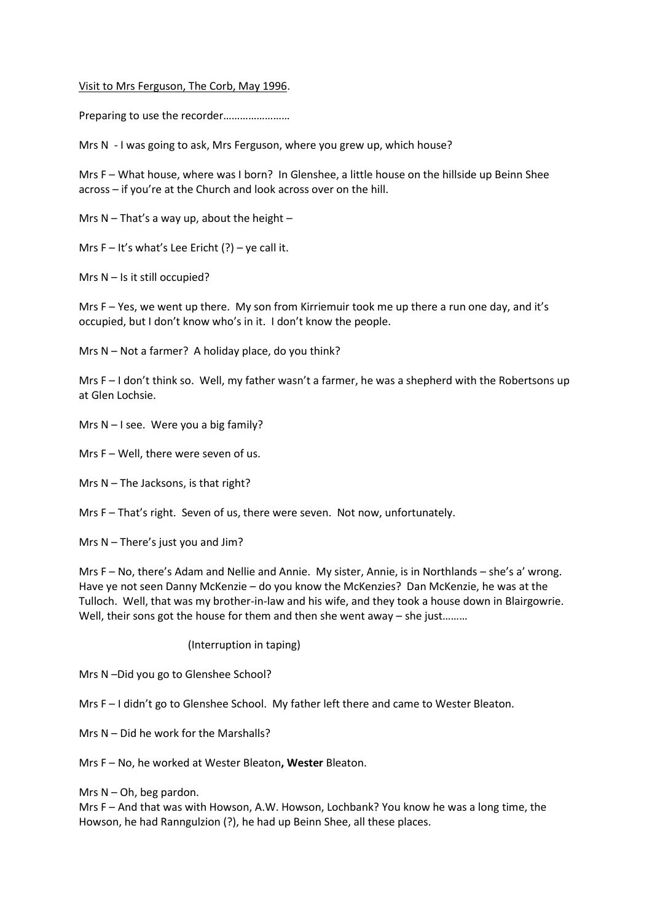## Visit to Mrs Ferguson, The Corb, May 1996.

Preparing to use the recorder……………………

Mrs N - I was going to ask, Mrs Ferguson, where you grew up, which house?

Mrs F – What house, where was I born? In Glenshee, a little house on the hillside up Beinn Shee across – if you're at the Church and look across over on the hill.

Mrs  $N - That's a way up, about the height  $-$$ 

Mrs  $F - It's what's Lee Ericht (?) - ve call it.$ 

Mrs N – Is it still occupied?

Mrs F – Yes, we went up there. My son from Kirriemuir took me up there a run one day, and it's occupied, but I don't know who's in it. I don't know the people.

Mrs  $N - Not$  a farmer? A holiday place, do you think?

Mrs F – I don't think so. Well, my father wasn't a farmer, he was a shepherd with the Robertsons up at Glen Lochsie.

Mrs  $N - I$  see. Were you a big family?

Mrs F – Well, there were seven of us.

Mrs N – The Jacksons, is that right?

Mrs F – That's right. Seven of us, there were seven. Not now, unfortunately.

Mrs N – There's just you and Jim?

Mrs F – No, there's Adam and Nellie and Annie. My sister, Annie, is in Northlands – she's a' wrong. Have ye not seen Danny McKenzie – do you know the McKenzies? Dan McKenzie, he was at the Tulloch. Well, that was my brother-in-law and his wife, and they took a house down in Blairgowrie. Well, their sons got the house for them and then she went away – she just.........

(Interruption in taping)

Mrs N –Did you go to Glenshee School?

Mrs F-I didn't go to Glenshee School. My father left there and came to Wester Bleaton.

Mrs N – Did he work for the Marshalls?

Mrs F – No, he worked at Wester Bleaton**, Wester** Bleaton.

Mrs  $N - Oh$ , beg pardon.

Mrs F – And that was with Howson, A.W. Howson, Lochbank? You know he was a long time, the Howson, he had Ranngulzion (?), he had up Beinn Shee, all these places.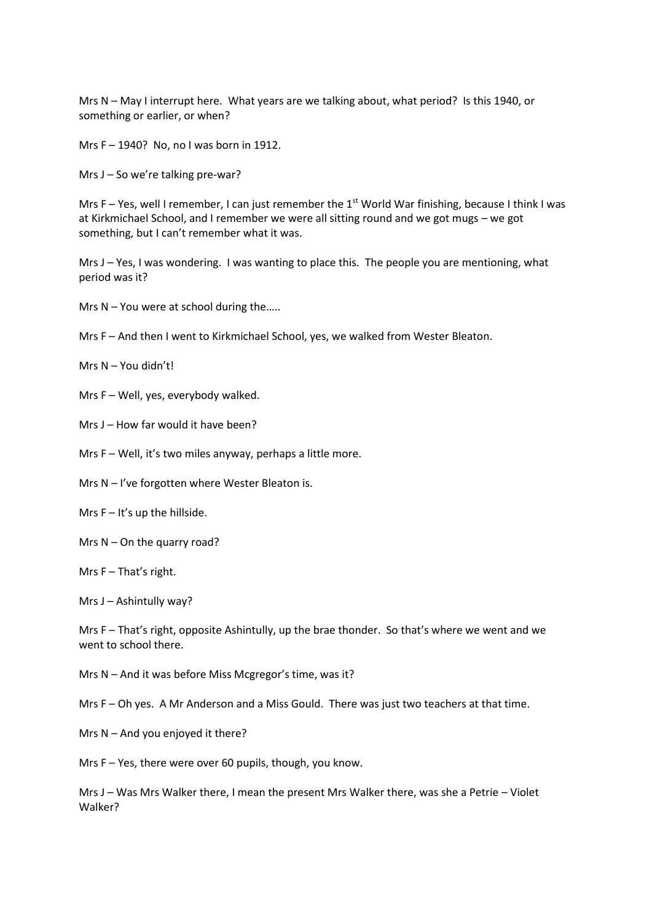Mrs N – May I interrupt here. What years are we talking about, what period? Is this 1940, or something or earlier, or when?

Mrs F – 1940? No, no I was born in 1912.

Mrs J – So we're talking pre-war?

Mrs F – Yes, well I remember, I can just remember the 1<sup>st</sup> World War finishing, because I think I was at Kirkmichael School, and I remember we were all sitting round and we got mugs – we got something, but I can't remember what it was.

Mrs J – Yes, I was wondering. I was wanting to place this. The people you are mentioning, what period was it?

Mrs N – You were at school during the…..

Mrs F – And then I went to Kirkmichael School, yes, we walked from Wester Bleaton.

- Mrs N You didn't!
- Mrs F Well, yes, everybody walked.
- Mrs J How far would it have been?
- Mrs F Well, it's two miles anyway, perhaps a little more.
- Mrs N I've forgotten where Wester Bleaton is.
- Mrs  $F It's$  up the hillside.
- Mrs  $N On$  the quarry road?
- Mrs F That's right.

Mrs J – Ashintully way?

Mrs F – That's right, opposite Ashintully, up the brae thonder. So that's where we went and we went to school there.

Mrs N – And it was before Miss Mcgregor's time, was it?

Mrs F – Oh yes. A Mr Anderson and a Miss Gould. There was just two teachers at that time.

Mrs N – And you enjoyed it there?

Mrs F – Yes, there were over 60 pupils, though, you know.

Mrs J – Was Mrs Walker there, I mean the present Mrs Walker there, was she a Petrie – Violet Walker?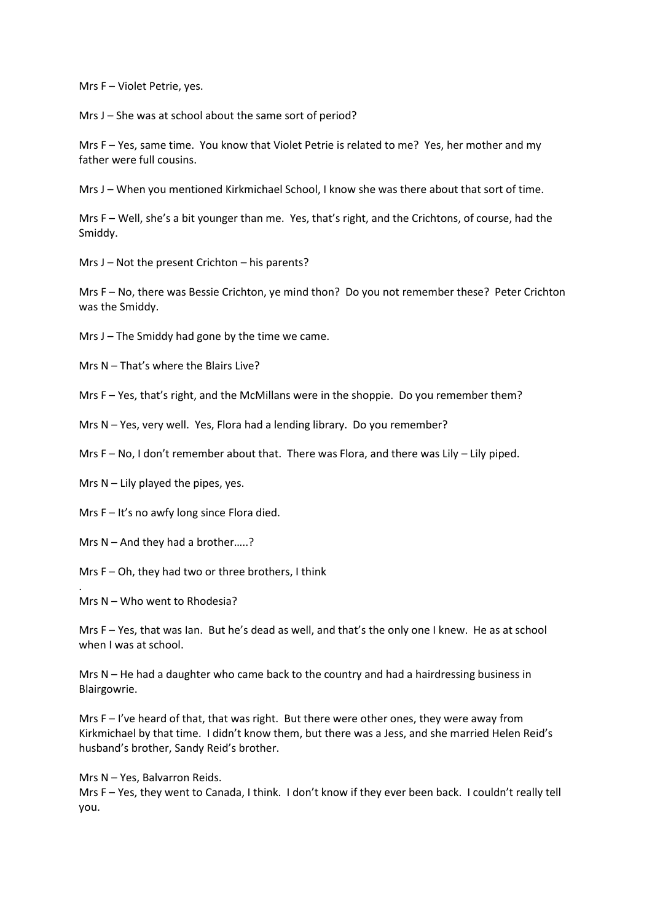Mrs F – Violet Petrie, yes.

Mrs J – She was at school about the same sort of period?

Mrs F – Yes, same time. You know that Violet Petrie is related to me? Yes, her mother and my father were full cousins.

Mrs J – When you mentioned Kirkmichael School, I know she was there about that sort of time.

Mrs F – Well, she's a bit younger than me. Yes, that's right, and the Crichtons, of course, had the Smiddy.

Mrs J – Not the present Crichton – his parents?

Mrs F – No, there was Bessie Crichton, ye mind thon? Do you not remember these? Peter Crichton was the Smiddy.

Mrs J – The Smiddy had gone by the time we came.

Mrs N – That's where the Blairs Live?

Mrs F – Yes, that's right, and the McMillans were in the shoppie. Do you remember them?

Mrs N – Yes, very well. Yes, Flora had a lending library. Do you remember?

Mrs F – No, I don't remember about that. There was Flora, and there was Lily – Lily piped.

Mrs  $N - Lily$  played the pipes, yes.

Mrs F – It's no awfy long since Flora died.

Mrs N – And they had a brother…..?

Mrs F – Oh, they had two or three brothers, I think

Mrs N – Who went to Rhodesia?

.

Mrs F – Yes, that was Ian. But he's dead as well, and that's the only one I knew. He as at school when I was at school.

Mrs N – He had a daughter who came back to the country and had a hairdressing business in Blairgowrie.

Mrs F – I've heard of that, that was right. But there were other ones, they were away from Kirkmichael by that time. I didn't know them, but there was a Jess, and she married Helen Reid's husband's brother, Sandy Reid's brother.

Mrs N – Yes, Balvarron Reids.

Mrs F – Yes, they went to Canada, I think. I don't know if they ever been back. I couldn't really tell you.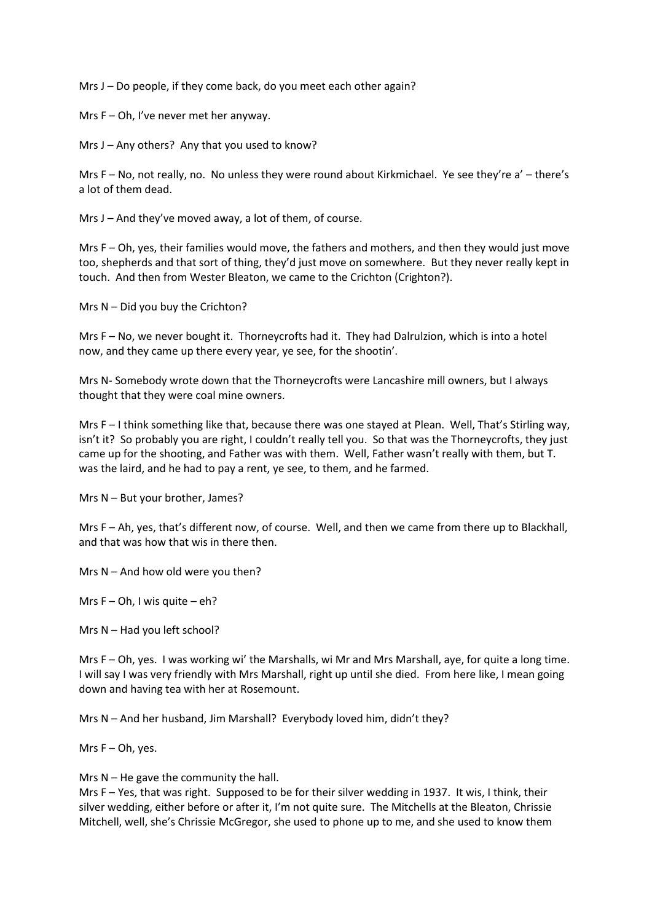Mrs J – Do people, if they come back, do you meet each other again?

Mrs F – Oh, I've never met her anyway.

Mrs J – Any others? Any that you used to know?

Mrs F – No, not really, no. No unless they were round about Kirkmichael. Ye see they're a' – there's a lot of them dead.

Mrs J – And they've moved away, a lot of them, of course.

Mrs F – Oh, yes, their families would move, the fathers and mothers, and then they would just move too, shepherds and that sort of thing, they'd just move on somewhere. But they never really kept in touch. And then from Wester Bleaton, we came to the Crichton (Crighton?).

Mrs N – Did you buy the Crichton?

Mrs F – No, we never bought it. Thorneycrofts had it. They had Dalrulzion, which is into a hotel now, and they came up there every year, ye see, for the shootin'.

Mrs N- Somebody wrote down that the Thorneycrofts were Lancashire mill owners, but I always thought that they were coal mine owners.

Mrs F – I think something like that, because there was one stayed at Plean. Well, That's Stirling way, isn't it? So probably you are right, I couldn't really tell you. So that was the Thorneycrofts, they just came up for the shooting, and Father was with them. Well, Father wasn't really with them, but T. was the laird, and he had to pay a rent, ye see, to them, and he farmed.

Mrs N – But your brother, James?

Mrs F – Ah, yes, that's different now, of course. Well, and then we came from there up to Blackhall, and that was how that wis in there then.

Mrs N – And how old were you then?

Mrs  $F - Oh$ , I wis quite  $- eh$ ?

Mrs N – Had you left school?

Mrs F – Oh, yes. I was working wi' the Marshalls, wi Mr and Mrs Marshall, aye, for quite a long time. I will say I was very friendly with Mrs Marshall, right up until she died. From here like, I mean going down and having tea with her at Rosemount.

Mrs N – And her husband, Jim Marshall? Everybody loved him, didn't they?

Mrs  $F - Oh$ , yes.

Mrs  $N - He$  gave the community the hall.

Mrs F – Yes, that was right. Supposed to be for their silver wedding in 1937. It wis, I think, their silver wedding, either before or after it, I'm not quite sure. The Mitchells at the Bleaton, Chrissie Mitchell, well, she's Chrissie McGregor, she used to phone up to me, and she used to know them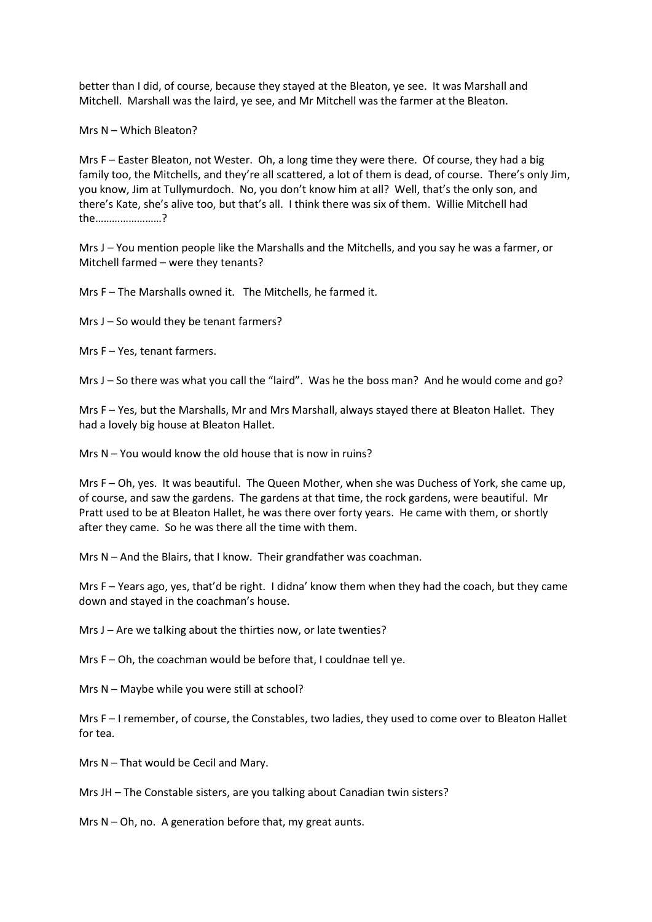better than I did, of course, because they stayed at the Bleaton, ye see. It was Marshall and Mitchell. Marshall was the laird, ye see, and Mr Mitchell was the farmer at the Bleaton.

Mrs N – Which Bleaton?

Mrs F – Easter Bleaton, not Wester. Oh, a long time they were there. Of course, they had a big family too, the Mitchells, and they're all scattered, a lot of them is dead, of course. There's only Jim, you know, Jim at Tullymurdoch. No, you don't know him at all? Well, that's the only son, and there's Kate, she's alive too, but that's all. I think there was six of them. Willie Mitchell had the……………………?

Mrs J – You mention people like the Marshalls and the Mitchells, and you say he was a farmer, or Mitchell farmed – were they tenants?

Mrs F – The Marshalls owned it. The Mitchells, he farmed it.

Mrs J – So would they be tenant farmers?

Mrs F – Yes, tenant farmers.

Mrs J – So there was what you call the "laird". Was he the boss man? And he would come and go?

Mrs F – Yes, but the Marshalls, Mr and Mrs Marshall, always stayed there at Bleaton Hallet. They had a lovely big house at Bleaton Hallet.

Mrs N – You would know the old house that is now in ruins?

Mrs F – Oh, yes. It was beautiful. The Queen Mother, when she was Duchess of York, she came up, of course, and saw the gardens. The gardens at that time, the rock gardens, were beautiful. Mr Pratt used to be at Bleaton Hallet, he was there over forty years. He came with them, or shortly after they came. So he was there all the time with them.

Mrs N – And the Blairs, that I know. Their grandfather was coachman.

Mrs F – Years ago, yes, that'd be right. I didna' know them when they had the coach, but they came down and stayed in the coachman's house.

Mrs J – Are we talking about the thirties now, or late twenties?

Mrs F – Oh, the coachman would be before that, I couldnae tell ye.

Mrs N – Maybe while you were still at school?

Mrs F – I remember, of course, the Constables, two ladies, they used to come over to Bleaton Hallet for tea.

Mrs N – That would be Cecil and Mary.

Mrs JH – The Constable sisters, are you talking about Canadian twin sisters?

Mrs  $N - Oh$ , no. A generation before that, my great aunts.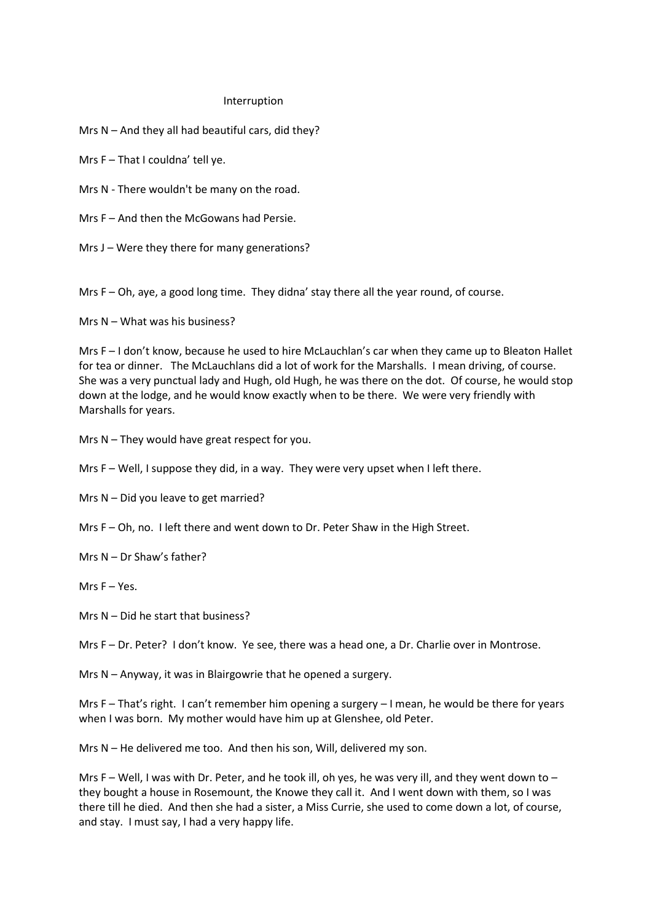## Interruption

Mrs N – And they all had beautiful cars, did they?

Mrs F – That I couldna' tell ye.

Mrs N - There wouldn't be many on the road.

Mrs F – And then the McGowans had Persie.

Mrs J – Were they there for many generations?

Mrs F – Oh, aye, a good long time. They didna' stay there all the year round, of course.

Mrs N – What was his business?

Mrs F – I don't know, because he used to hire McLauchlan's car when they came up to Bleaton Hallet for tea or dinner. The McLauchlans did a lot of work for the Marshalls. I mean driving, of course. She was a very punctual lady and Hugh, old Hugh, he was there on the dot. Of course, he would stop down at the lodge, and he would know exactly when to be there. We were very friendly with Marshalls for years.

Mrs N – They would have great respect for you.

Mrs F – Well, I suppose they did, in a way. They were very upset when I left there.

Mrs N – Did you leave to get married?

Mrs F – Oh, no. I left there and went down to Dr. Peter Shaw in the High Street.

Mrs N – Dr Shaw's father?

Mrs F – Yes.

Mrs N – Did he start that business?

Mrs F – Dr. Peter? I don't know. Ye see, there was a head one, a Dr. Charlie over in Montrose.

Mrs N – Anyway, it was in Blairgowrie that he opened a surgery.

Mrs F – That's right. I can't remember him opening a surgery – I mean, he would be there for years when I was born. My mother would have him up at Glenshee, old Peter.

Mrs N – He delivered me too. And then his son, Will, delivered my son.

Mrs F – Well, I was with Dr. Peter, and he took ill, oh yes, he was very ill, and they went down to – they bought a house in Rosemount, the Knowe they call it. And I went down with them, so I was there till he died. And then she had a sister, a Miss Currie, she used to come down a lot, of course, and stay. I must say, I had a very happy life.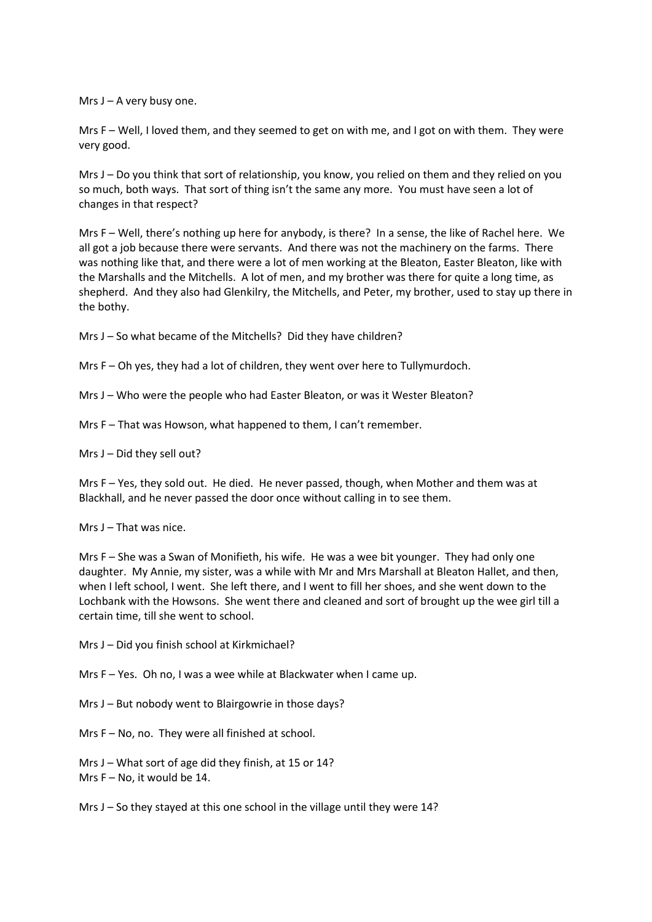Mrs  $J - A$  very busy one.

Mrs F – Well, I loved them, and they seemed to get on with me, and I got on with them. They were very good.

Mrs J – Do you think that sort of relationship, you know, you relied on them and they relied on you so much, both ways. That sort of thing isn't the same any more. You must have seen a lot of changes in that respect?

Mrs F – Well, there's nothing up here for anybody, is there? In a sense, the like of Rachel here. We all got a job because there were servants. And there was not the machinery on the farms. There was nothing like that, and there were a lot of men working at the Bleaton, Easter Bleaton, like with the Marshalls and the Mitchells. A lot of men, and my brother was there for quite a long time, as shepherd. And they also had Glenkilry, the Mitchells, and Peter, my brother, used to stay up there in the bothy.

Mrs J – So what became of the Mitchells? Did they have children?

Mrs F – Oh yes, they had a lot of children, they went over here to Tullymurdoch.

Mrs J – Who were the people who had Easter Bleaton, or was it Wester Bleaton?

Mrs F – That was Howson, what happened to them, I can't remember.

Mrs J – Did they sell out?

Mrs F – Yes, they sold out. He died. He never passed, though, when Mother and them was at Blackhall, and he never passed the door once without calling in to see them.

Mrs J – That was nice.

Mrs F – She was a Swan of Monifieth, his wife. He was a wee bit younger. They had only one daughter. My Annie, my sister, was a while with Mr and Mrs Marshall at Bleaton Hallet, and then, when I left school, I went. She left there, and I went to fill her shoes, and she went down to the Lochbank with the Howsons. She went there and cleaned and sort of brought up the wee girl till a certain time, till she went to school.

Mrs J – Did you finish school at Kirkmichael?

Mrs F – Yes. Oh no, I was a wee while at Blackwater when I came up.

Mrs J – But nobody went to Blairgowrie in those days?

Mrs F – No, no. They were all finished at school.

Mrs J – What sort of age did they finish, at 15 or 14? Mrs F – No, it would be 14.

Mrs J – So they stayed at this one school in the village until they were 14?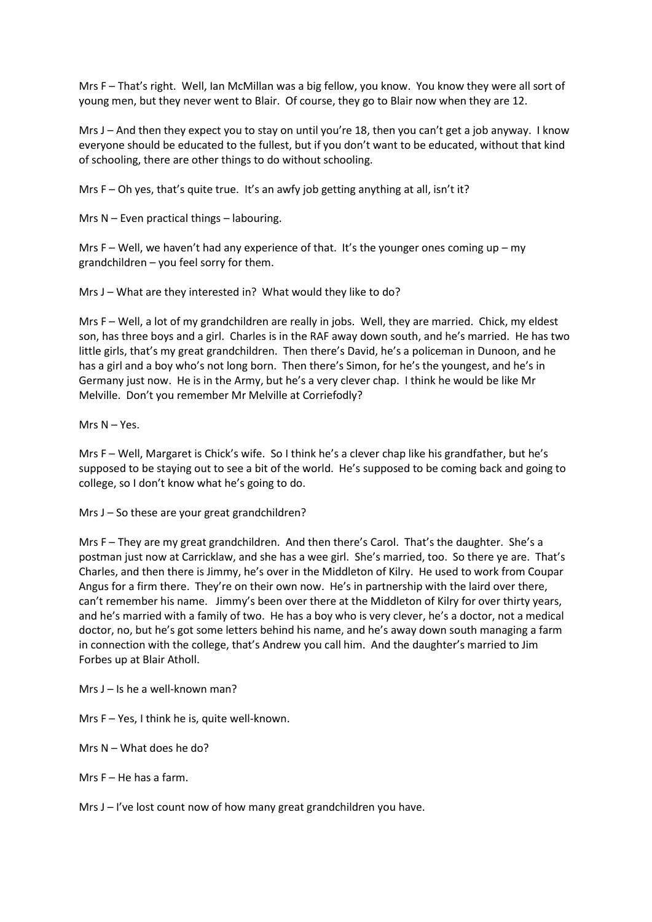Mrs F – That's right. Well, Ian McMillan was a big fellow, you know. You know they were all sort of young men, but they never went to Blair. Of course, they go to Blair now when they are 12.

Mrs J – And then they expect you to stay on until you're 18, then you can't get a job anyway. I know everyone should be educated to the fullest, but if you don't want to be educated, without that kind of schooling, there are other things to do without schooling.

Mrs  $F - Oh$  yes, that's quite true. It's an awfy job getting anything at all, isn't it?

Mrs N – Even practical things – labouring.

Mrs F – Well, we haven't had any experience of that. It's the younger ones coming up – my grandchildren – you feel sorry for them.

Mrs J – What are they interested in? What would they like to do?

Mrs F – Well, a lot of my grandchildren are really in jobs. Well, they are married. Chick, my eldest son, has three boys and a girl. Charles is in the RAF away down south, and he's married. He has two little girls, that's my great grandchildren. Then there's David, he's a policeman in Dunoon, and he has a girl and a boy who's not long born. Then there's Simon, for he's the youngest, and he's in Germany just now. He is in the Army, but he's a very clever chap. I think he would be like Mr Melville. Don't you remember Mr Melville at Corriefodly?

Mrs N – Yes.

Mrs F – Well, Margaret is Chick's wife. So I think he's a clever chap like his grandfather, but he's supposed to be staying out to see a bit of the world. He's supposed to be coming back and going to college, so I don't know what he's going to do.

Mrs J – So these are your great grandchildren?

Mrs F – They are my great grandchildren. And then there's Carol. That's the daughter. She's a postman just now at Carricklaw, and she has a wee girl. She's married, too. So there ye are. That's Charles, and then there is Jimmy, he's over in the Middleton of Kilry. He used to work from Coupar Angus for a firm there. They're on their own now. He's in partnership with the laird over there, can't remember his name. Jimmy's been over there at the Middleton of Kilry for over thirty years, and he's married with a family of two. He has a boy who is very clever, he's a doctor, not a medical doctor, no, but he's got some letters behind his name, and he's away down south managing a farm in connection with the college, that's Andrew you call him. And the daughter's married to Jim Forbes up at Blair Atholl.

Mrs J – Is he a well-known man?

Mrs F – Yes, I think he is, quite well-known.

Mrs N – What does he do?

Mrs F – He has a farm.

Mrs J – I've lost count now of how many great grandchildren you have.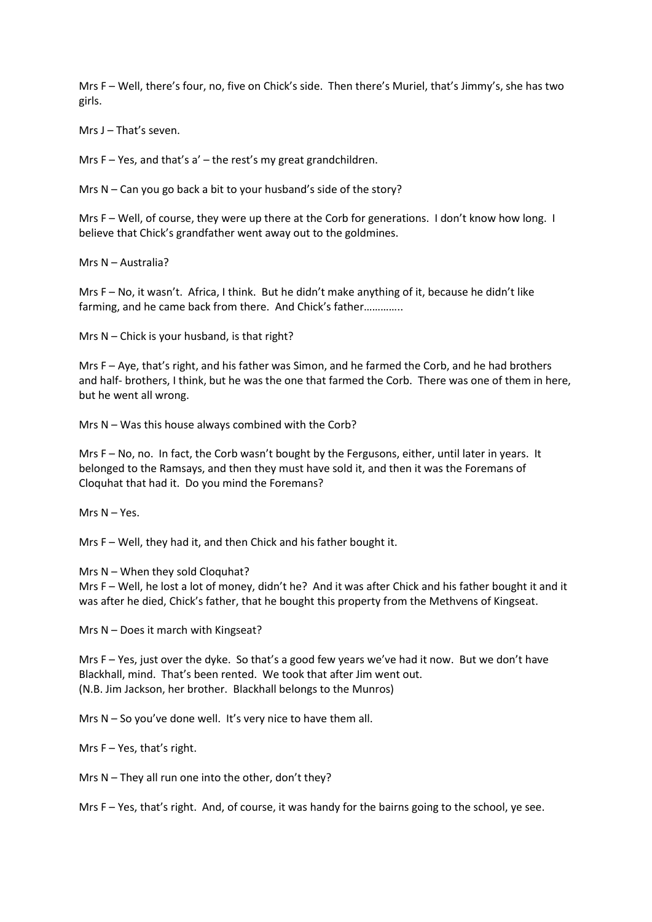Mrs F – Well, there's four, no, five on Chick's side. Then there's Muriel, that's Jimmy's, she has two girls.

Mrs J – That's seven.

Mrs F – Yes, and that's a' – the rest's my great grandchildren.

Mrs N – Can you go back a bit to your husband's side of the story?

Mrs F – Well, of course, they were up there at the Corb for generations. I don't know how long. I believe that Chick's grandfather went away out to the goldmines.

Mrs N – Australia?

Mrs F – No, it wasn't. Africa, I think. But he didn't make anything of it, because he didn't like farming, and he came back from there. And Chick's father…………..

Mrs N – Chick is your husband, is that right?

Mrs F – Aye, that's right, and his father was Simon, and he farmed the Corb, and he had brothers and half- brothers, I think, but he was the one that farmed the Corb. There was one of them in here, but he went all wrong.

Mrs N – Was this house always combined with the Corb?

Mrs F – No, no. In fact, the Corb wasn't bought by the Fergusons, either, until later in years. It belonged to the Ramsays, and then they must have sold it, and then it was the Foremans of Cloquhat that had it. Do you mind the Foremans?

Mrs N – Yes.

Mrs F – Well, they had it, and then Chick and his father bought it.

Mrs N – When they sold Cloquhat?

Mrs F – Well, he lost a lot of money, didn't he? And it was after Chick and his father bought it and it was after he died, Chick's father, that he bought this property from the Methvens of Kingseat.

Mrs N – Does it march with Kingseat?

Mrs F – Yes, just over the dyke. So that's a good few years we've had it now. But we don't have Blackhall, mind. That's been rented. We took that after Jim went out. (N.B. Jim Jackson, her brother. Blackhall belongs to the Munros)

Mrs N – So you've done well. It's very nice to have them all.

Mrs F – Yes, that's right.

Mrs N – They all run one into the other, don't they?

Mrs F – Yes, that's right. And, of course, it was handy for the bairns going to the school, ye see.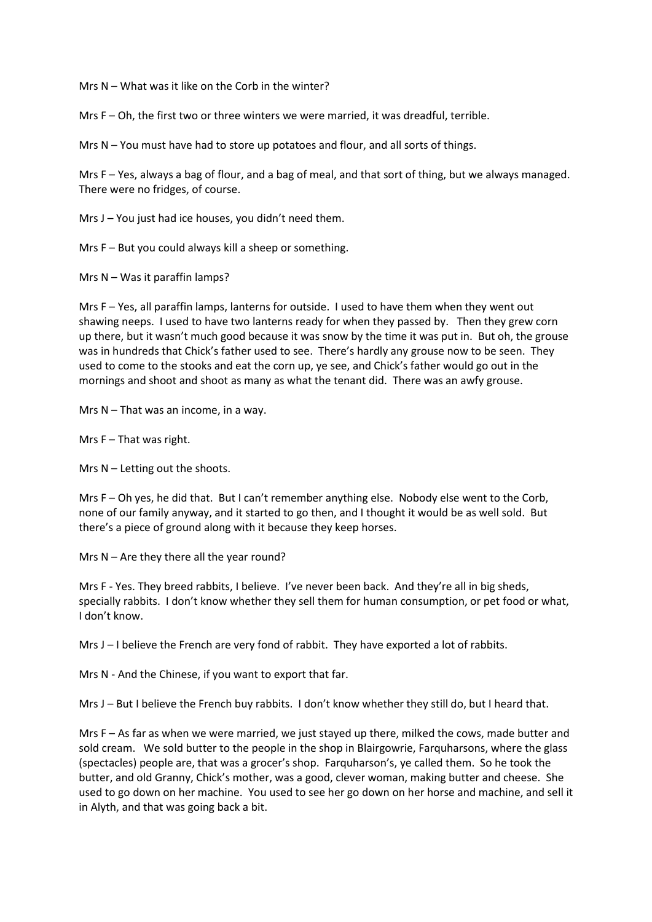Mrs N – What was it like on the Corb in the winter?

Mrs F – Oh, the first two or three winters we were married, it was dreadful, terrible.

Mrs N – You must have had to store up potatoes and flour, and all sorts of things.

Mrs F – Yes, always a bag of flour, and a bag of meal, and that sort of thing, but we always managed. There were no fridges, of course.

Mrs J – You just had ice houses, you didn't need them.

Mrs F – But you could always kill a sheep or something.

Mrs  $N - W$ as it paraffin lamps?

Mrs F – Yes, all paraffin lamps, lanterns for outside. I used to have them when they went out shawing neeps. I used to have two lanterns ready for when they passed by. Then they grew corn up there, but it wasn't much good because it was snow by the time it was put in. But oh, the grouse was in hundreds that Chick's father used to see. There's hardly any grouse now to be seen. They used to come to the stooks and eat the corn up, ye see, and Chick's father would go out in the mornings and shoot and shoot as many as what the tenant did. There was an awfy grouse.

Mrs N – That was an income, in a way.

Mrs F – That was right.

Mrs N – Letting out the shoots.

Mrs F – Oh yes, he did that. But I can't remember anything else. Nobody else went to the Corb. none of our family anyway, and it started to go then, and I thought it would be as well sold. But there's a piece of ground along with it because they keep horses.

Mrs N – Are they there all the year round?

Mrs F - Yes. They breed rabbits, I believe. I've never been back. And they're all in big sheds, specially rabbits. I don't know whether they sell them for human consumption, or pet food or what, I don't know.

Mrs J – I believe the French are very fond of rabbit. They have exported a lot of rabbits.

Mrs N - And the Chinese, if you want to export that far.

Mrs J – But I believe the French buy rabbits. I don't know whether they still do, but I heard that.

Mrs F – As far as when we were married, we just stayed up there, milked the cows, made butter and sold cream. We sold butter to the people in the shop in Blairgowrie, Farquharsons, where the glass (spectacles) people are, that was a grocer's shop. Farquharson's, ye called them. So he took the butter, and old Granny, Chick's mother, was a good, clever woman, making butter and cheese. She used to go down on her machine. You used to see her go down on her horse and machine, and sell it in Alyth, and that was going back a bit.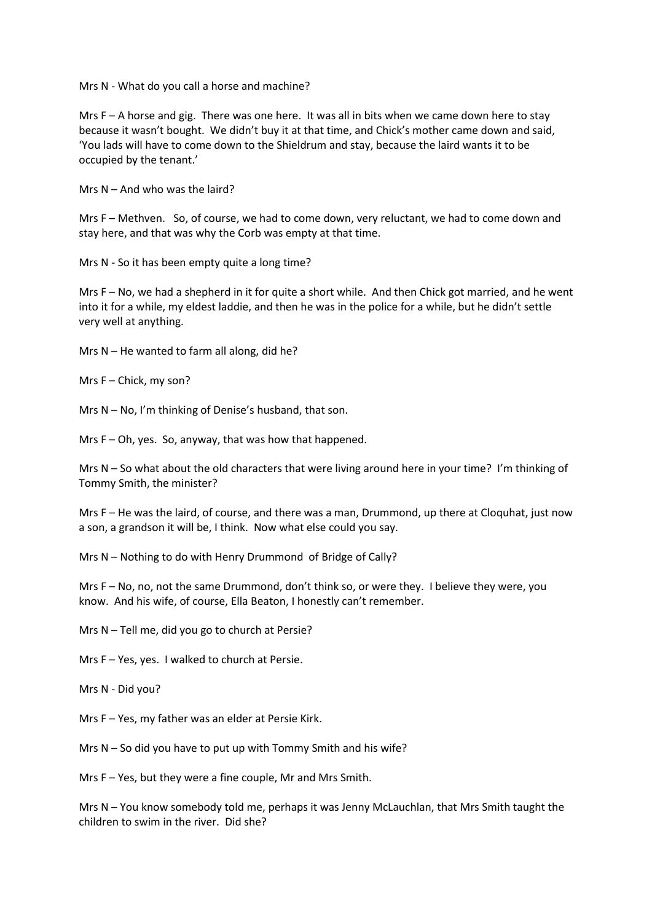Mrs N - What do you call a horse and machine?

Mrs  $F - A$  horse and gig. There was one here. It was all in bits when we came down here to stay because it wasn't bought. We didn't buy it at that time, and Chick's mother came down and said, 'You lads will have to come down to the Shieldrum and stay, because the laird wants it to be occupied by the tenant.'

Mrs  $N -$  And who was the laird?

Mrs F – Methven. So, of course, we had to come down, very reluctant, we had to come down and stay here, and that was why the Corb was empty at that time.

Mrs N - So it has been empty quite a long time?

Mrs F – No, we had a shepherd in it for quite a short while. And then Chick got married, and he went into it for a while, my eldest laddie, and then he was in the police for a while, but he didn't settle very well at anything.

Mrs N – He wanted to farm all along, did he?

Mrs F – Chick, my son?

Mrs N – No, I'm thinking of Denise's husband, that son.

Mrs F – Oh, yes. So, anyway, that was how that happened.

Mrs N – So what about the old characters that were living around here in your time? I'm thinking of Tommy Smith, the minister?

Mrs F – He was the laird, of course, and there was a man, Drummond, up there at Cloquhat, just now a son, a grandson it will be, I think. Now what else could you say.

Mrs N – Nothing to do with Henry Drummond of Bridge of Cally?

Mrs F – No, no, not the same Drummond, don't think so, or were they. I believe they were, you know. And his wife, of course, Ella Beaton, I honestly can't remember.

Mrs N – Tell me, did you go to church at Persie?

Mrs F – Yes, yes. I walked to church at Persie.

Mrs N - Did you?

Mrs F – Yes, my father was an elder at Persie Kirk.

Mrs N – So did you have to put up with Tommy Smith and his wife?

Mrs F – Yes, but they were a fine couple, Mr and Mrs Smith.

Mrs N – You know somebody told me, perhaps it was Jenny McLauchlan, that Mrs Smith taught the children to swim in the river. Did she?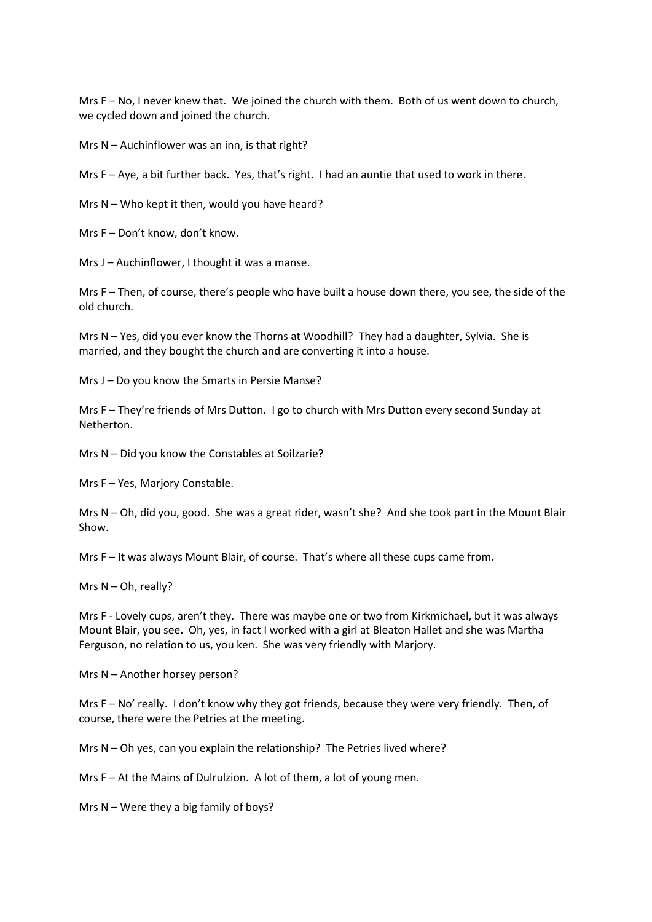Mrs F – No, I never knew that. We joined the church with them. Both of us went down to church, we cycled down and joined the church.

Mrs N – Auchinflower was an inn, is that right?

Mrs F – Aye, a bit further back. Yes, that's right. I had an auntie that used to work in there.

Mrs  $N - W$ ho kept it then, would you have heard?

Mrs F – Don't know, don't know.

Mrs J – Auchinflower, I thought it was a manse.

Mrs F – Then, of course, there's people who have built a house down there, you see, the side of the old church.

Mrs N – Yes, did you ever know the Thorns at Woodhill? They had a daughter, Sylvia. She is married, and they bought the church and are converting it into a house.

Mrs J – Do you know the Smarts in Persie Manse?

Mrs F – They're friends of Mrs Dutton. I go to church with Mrs Dutton every second Sunday at Netherton.

Mrs N – Did you know the Constables at Soilzarie?

Mrs F – Yes, Marjory Constable.

Mrs N – Oh, did you, good. She was a great rider, wasn't she? And she took part in the Mount Blair Show.

Mrs F – It was always Mount Blair, of course. That's where all these cups came from.

Mrs N – Oh, really?

Mrs F - Lovely cups, aren't they. There was maybe one or two from Kirkmichael, but it was always Mount Blair, you see. Oh, yes, in fact I worked with a girl at Bleaton Hallet and she was Martha Ferguson, no relation to us, you ken. She was very friendly with Marjory.

Mrs N – Another horsey person?

Mrs F – No' really. I don't know why they got friends, because they were very friendly. Then, of course, there were the Petries at the meeting.

Mrs N – Oh yes, can you explain the relationship? The Petries lived where?

Mrs F – At the Mains of Dulrulzion. A lot of them, a lot of young men.

Mrs  $N$  – Were they a big family of boys?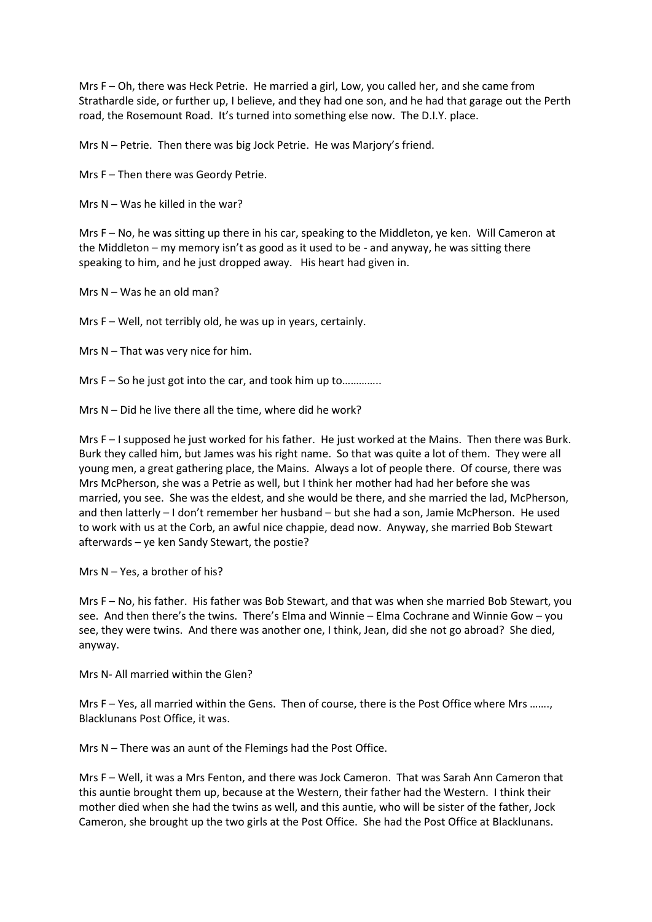Mrs F – Oh, there was Heck Petrie. He married a girl, Low, you called her, and she came from Strathardle side, or further up, I believe, and they had one son, and he had that garage out the Perth road, the Rosemount Road. It's turned into something else now. The D.I.Y. place.

Mrs N – Petrie. Then there was big Jock Petrie. He was Marjory's friend.

Mrs F – Then there was Geordy Petrie.

Mrs N – Was he killed in the war?

Mrs F – No, he was sitting up there in his car, speaking to the Middleton, ye ken. Will Cameron at the Middleton – my memory isn't as good as it used to be - and anyway, he was sitting there speaking to him, and he just dropped away. His heart had given in.

Mrs N – Was he an old man?

Mrs F – Well, not terribly old, he was up in years, certainly.

Mrs N – That was very nice for him.

Mrs F – So he just got into the car, and took him up to..............

Mrs N – Did he live there all the time, where did he work?

Mrs F – I supposed he just worked for his father. He just worked at the Mains. Then there was Burk. Burk they called him, but James was his right name. So that was quite a lot of them. They were all young men, a great gathering place, the Mains. Always a lot of people there. Of course, there was Mrs McPherson, she was a Petrie as well, but I think her mother had had her before she was married, you see. She was the eldest, and she would be there, and she married the lad, McPherson, and then latterly – I don't remember her husband – but she had a son, Jamie McPherson. He used to work with us at the Corb, an awful nice chappie, dead now. Anyway, she married Bob Stewart afterwards – ye ken Sandy Stewart, the postie?

Mrs N – Yes, a brother of his?

Mrs F – No, his father. His father was Bob Stewart, and that was when she married Bob Stewart, you see. And then there's the twins. There's Elma and Winnie – Elma Cochrane and Winnie Gow – you see, they were twins. And there was another one, I think, Jean, did she not go abroad? She died, anyway.

Mrs N- All married within the Glen?

Mrs F – Yes, all married within the Gens. Then of course, there is the Post Office where Mrs ……., Blacklunans Post Office, it was.

Mrs N – There was an aunt of the Flemings had the Post Office.

Mrs F – Well, it was a Mrs Fenton, and there was Jock Cameron. That was Sarah Ann Cameron that this auntie brought them up, because at the Western, their father had the Western. I think their mother died when she had the twins as well, and this auntie, who will be sister of the father, Jock Cameron, she brought up the two girls at the Post Office. She had the Post Office at Blacklunans.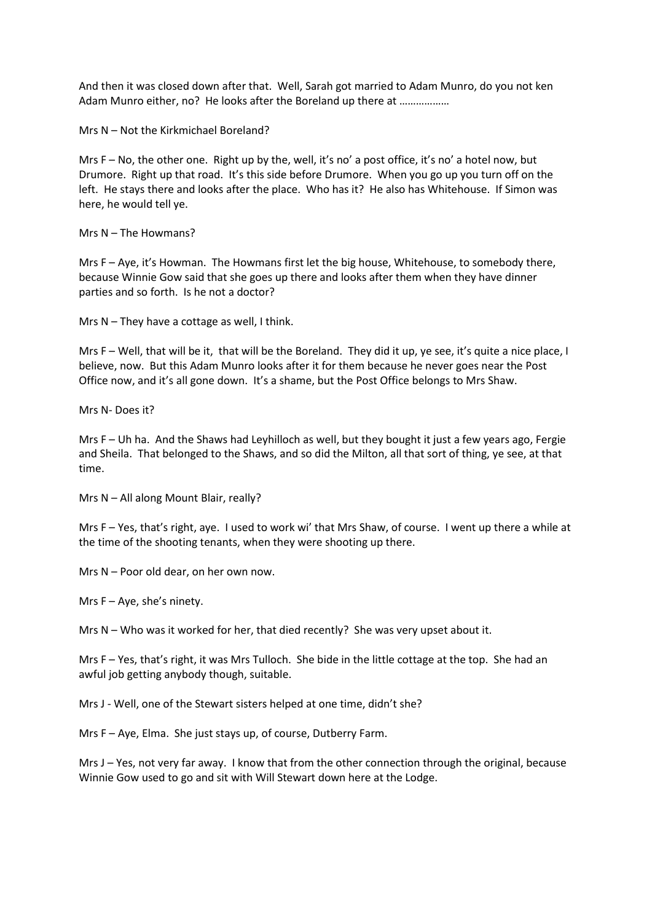And then it was closed down after that. Well, Sarah got married to Adam Munro, do you not ken Adam Munro either, no? He looks after the Boreland up there at ………………

Mrs N – Not the Kirkmichael Boreland?

Mrs F – No, the other one. Right up by the, well, it's no' a post office, it's no' a hotel now, but Drumore. Right up that road. It's this side before Drumore. When you go up you turn off on the left. He stays there and looks after the place. Who has it? He also has Whitehouse. If Simon was here, he would tell ye.

Mrs N – The Howmans?

Mrs F – Aye, it's Howman. The Howmans first let the big house, Whitehouse, to somebody there, because Winnie Gow said that she goes up there and looks after them when they have dinner parties and so forth. Is he not a doctor?

Mrs N – They have a cottage as well, I think.

Mrs F – Well, that will be it, that will be the Boreland. They did it up, ye see, it's quite a nice place, I believe, now. But this Adam Munro looks after it for them because he never goes near the Post Office now, and it's all gone down. It's a shame, but the Post Office belongs to Mrs Shaw.

Mrs N- Does it?

Mrs F – Uh ha. And the Shaws had Leyhilloch as well, but they bought it just a few years ago, Fergie and Sheila. That belonged to the Shaws, and so did the Milton, all that sort of thing, ye see, at that time.

Mrs N – All along Mount Blair, really?

Mrs F – Yes, that's right, aye. I used to work wi' that Mrs Shaw, of course. I went up there a while at the time of the shooting tenants, when they were shooting up there.

Mrs N – Poor old dear, on her own now.

Mrs  $F - Aye$ , she's ninety.

Mrs  $N - W$ ho was it worked for her, that died recently? She was very upset about it.

Mrs F – Yes, that's right, it was Mrs Tulloch. She bide in the little cottage at the top. She had an awful job getting anybody though, suitable.

Mrs J - Well, one of the Stewart sisters helped at one time, didn't she?

Mrs F – Aye, Elma. She just stays up, of course, Dutberry Farm.

Mrs J – Yes, not very far away. I know that from the other connection through the original, because Winnie Gow used to go and sit with Will Stewart down here at the Lodge.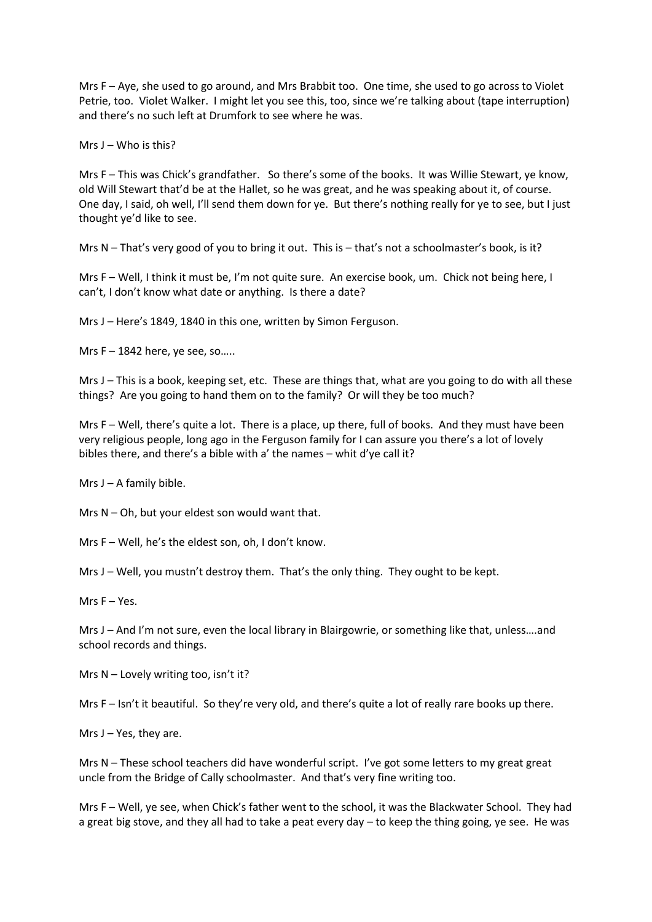Mrs F – Aye, she used to go around, and Mrs Brabbit too. One time, she used to go across to Violet Petrie, too. Violet Walker. I might let you see this, too, since we're talking about (tape interruption) and there's no such left at Drumfork to see where he was.

Mrs  $J - W$ ho is this?

Mrs F – This was Chick's grandfather. So there's some of the books. It was Willie Stewart, ye know, old Will Stewart that'd be at the Hallet, so he was great, and he was speaking about it, of course. One day, I said, oh well, I'll send them down for ye. But there's nothing really for ye to see, but I just thought ye'd like to see.

Mrs N – That's very good of you to bring it out. This is – that's not a schoolmaster's book, is it?

Mrs F – Well, I think it must be, I'm not quite sure. An exercise book, um. Chick not being here, I can't, I don't know what date or anything. Is there a date?

Mrs J – Here's 1849, 1840 in this one, written by Simon Ferguson.

Mrs  $F - 1842$  here, ye see, so.....

Mrs J – This is a book, keeping set, etc. These are things that, what are you going to do with all these things? Are you going to hand them on to the family? Or will they be too much?

Mrs F – Well, there's quite a lot. There is a place, up there, full of books. And they must have been very religious people, long ago in the Ferguson family for I can assure you there's a lot of lovely bibles there, and there's a bible with a' the names – whit d'ye call it?

Mrs  $J - A$  family bible.

Mrs N – Oh, but your eldest son would want that.

Mrs F – Well, he's the eldest son, oh, I don't know.

Mrs J – Well, you mustn't destroy them. That's the only thing. They ought to be kept.

Mrs F – Yes.

Mrs J – And I'm not sure, even the local library in Blairgowrie, or something like that, unless….and school records and things.

Mrs N – Lovely writing too, isn't it?

Mrs F – Isn't it beautiful. So they're very old, and there's quite a lot of really rare books up there.

Mrs  $J - Yes$ , they are.

Mrs N – These school teachers did have wonderful script. I've got some letters to my great great uncle from the Bridge of Cally schoolmaster. And that's very fine writing too.

Mrs F – Well, ye see, when Chick's father went to the school, it was the Blackwater School. They had a great big stove, and they all had to take a peat every day – to keep the thing going, ye see. He was